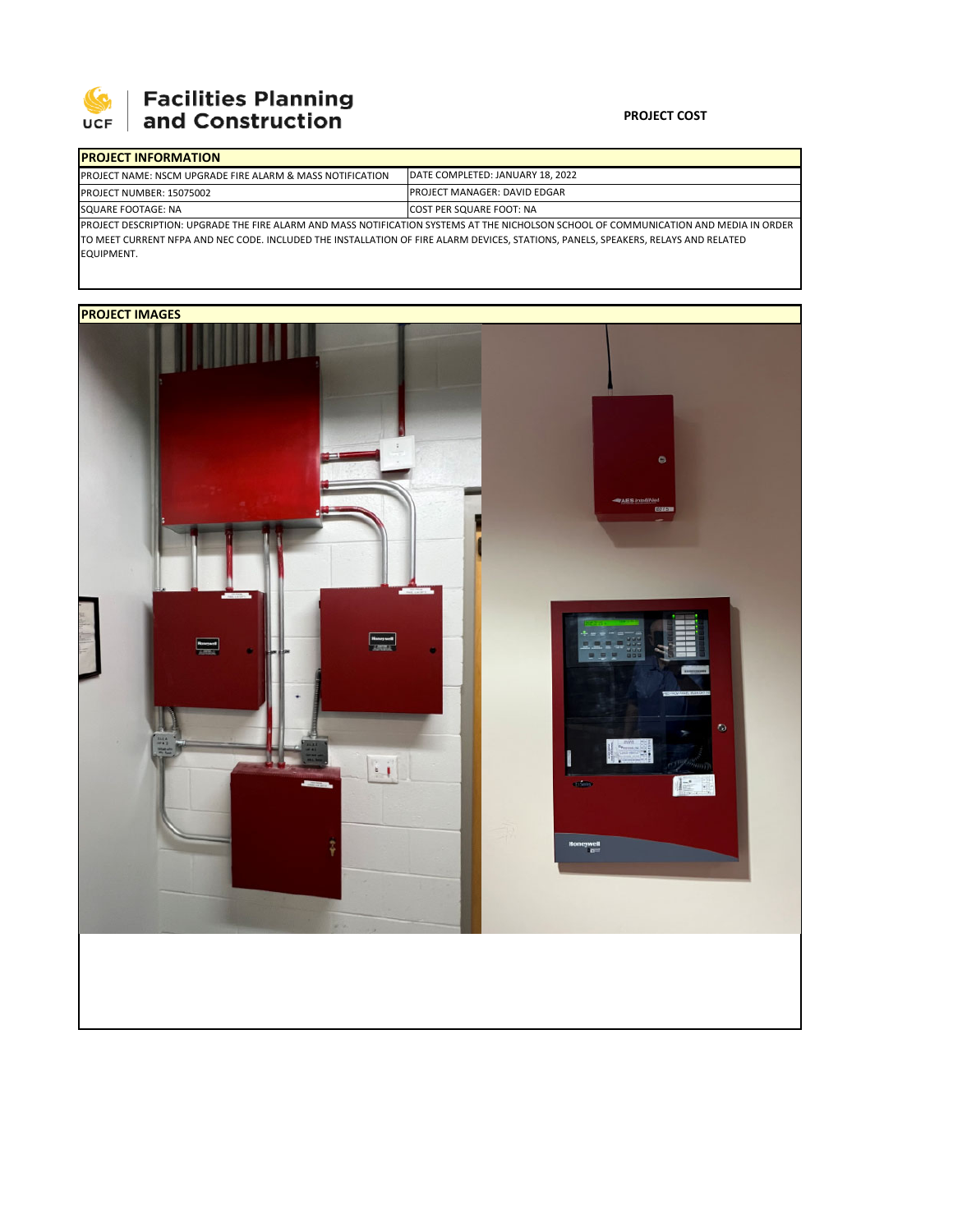

## **Facilities Planning<br>and Construction**

## **PROJECT COST**

| <b>IPROJECT INFORMATION</b>                                                                                                            |                                     |  |  |  |  |
|----------------------------------------------------------------------------------------------------------------------------------------|-------------------------------------|--|--|--|--|
| <b>IPROJECT NAME: NSCM UPGRADE FIRE ALARM &amp; MASS NOTIFICATION</b>                                                                  | DATE COMPLETED: JANUARY 18, 2022    |  |  |  |  |
| PROJECT NUMBER: 15075002                                                                                                               | <b>PROJECT MANAGER: DAVID EDGAR</b> |  |  |  |  |
| SQUARE FOOTAGE: NA                                                                                                                     | <b>COST PER SQUARE FOOT: NA</b>     |  |  |  |  |
| IPROJECT DESCRIPTION: UPGRADE THE FIRE ALARM AND MASS NOTIFICATION SYSTEMS AT THE NICHOLSON SCHOOL OF COMMUNICATION AND MEDIA IN ORDER |                                     |  |  |  |  |
| TO MEET CURRENT NFPA AND NEC CODE. INCLUDED THE INSTALLATION OF FIRE ALARM DEVICES. STATIONS. PANELS. SPEAKERS. RELAYS AND RELATED     |                                     |  |  |  |  |
| EQUIPMENT.                                                                                                                             |                                     |  |  |  |  |